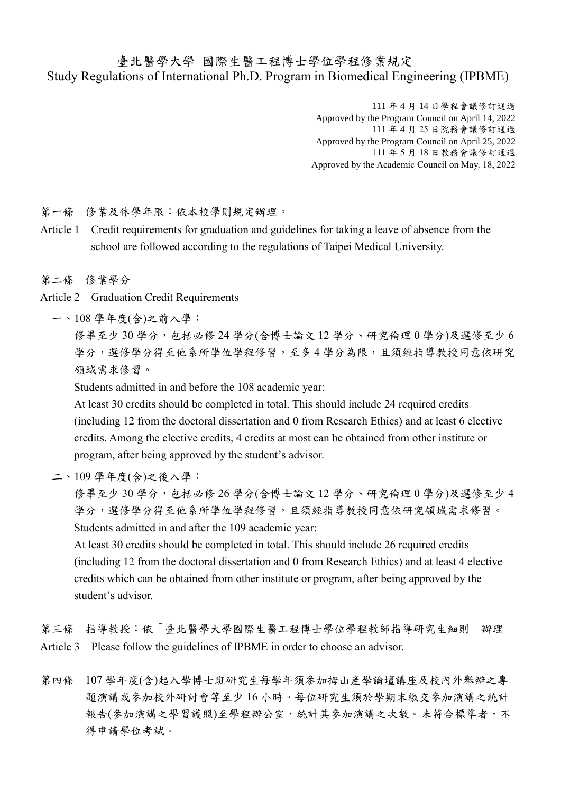## 臺北醫學大學 國際生醫工程博士學位學程修業規定 Study Regulations of International Ph.D. Program in Biomedical Engineering (IPBME)

111 年 4 月 14 日學程會議修訂通過 Approved by the Program Council on April 14, 2022 111 年 4 月 25 日院務會議修訂通過 Approved by the Program Council on April 25, 2022 111 年 5 月 18 日教務會議修訂通過 Approved by the Academic Council on May. 18, 2022

第一條 修業及休學年限:依本校學則規定辦理。

Article 1 Credit requirements for graduation and guidelines for taking a leave of absence from the school are followed according to the regulations of Taipei Medical University.

第二條 修業學分

- Article 2 Graduation Credit Requirements
	- 一、108 學年度(含)之前入學:

修畢至少30學分,包括必修24學分(含博士論文12學分、研究倫理0學分)及選修至少6 學分,選修學分得至他系所學位學程修習,至多4學分為限,且須經指導教授同意依研究 領域需求修習。

Students admitted in and before the 108 academic year:

At least 30 credits should be completed in total. This should include 24 required credits (including 12 from the doctoral dissertation and 0 from Research Ethics) and at least 6 elective credits. Among the elective credits, 4 credits at most can be obtained from other institute or program, after being approved by the student's advisor.

二、109 學年度(含)之後入學:

修畢至少30學分,包括必修26學分(含博士論文12學分、研究倫理0學分)及選修至少4 學分,選修學分得至他系所學位學程修習,且須經指導教授同意依研究領域需求修習。 Students admitted in and after the 109 academic year:

At least 30 credits should be completed in total. This should include 26 required credits (including 12 from the doctoral dissertation and 0 from Research Ethics) and at least 4 elective credits which can be obtained from other institute or program, after being approved by the student's advisor.

第三條 指導教授:依「臺北醫學大學國際生醫工程博士學位學程教師指導研究生細則」辦理 Article 3 Please follow the guidelines of IPBME in order to choose an advisor.

第四條 107 學年度(含)起入學博士班研究生每學年須參加拇山產學論壇講座及校內外舉辦之專 題演講或參加校外研討會等至少 16 小時。每位研究生須於學期末繳交參加演講之統計 報告(參加演講之學習護照)至學程辦公室,統計其參加演講之次數。未符合標準者,不 得申請學位考試。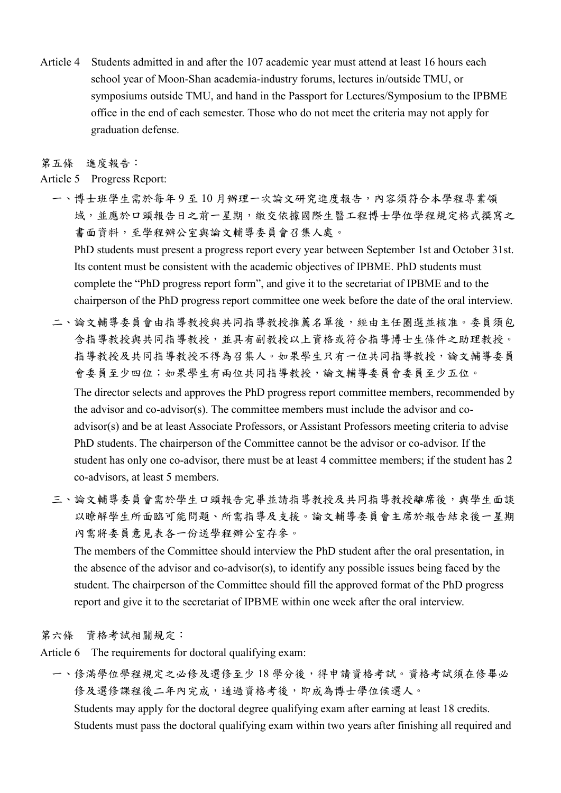Article 4 Students admitted in and after the 107 academic year must attend at least 16 hours each school year of Moon-Shan academia-industry forums, lectures in/outside TMU, or symposiums outside TMU, and hand in the Passport for Lectures/Symposium to the IPBME office in the end of each semester. Those who do not meet the criteria may not apply for graduation defense.

第五條 進度報告:

- Article 5 Progress Report:
	- 一、博士班學生需於每年 9 至 10 月辦理一次論文研究進度報告,內容須符合本學程專業領 域,並應於口頭報告日之前一星期,繳交依據國際生醫工程博士學位學程規定格式撰寫之 書面資料,至學程辦公室與論文輔導委員會召集人處。

PhD students must present a progress report every year between September 1st and October 31st. Its content must be consistent with the academic objectives of IPBME. PhD students must complete the "PhD progress report form", and give it to the secretariat of IPBME and to the chairperson of the PhD progress report committee one week before the date of the oral interview.

二、論文輔導委員會由指導教授與其同指導教授推薦名單後,經由主任圈選並核准。委員須包 含指導教授與共同指導教授,並具有副教授以上資格或符合指導博士生條件之助理教授。 指導教授及共同指導教授不得為召集人。如果學生只有一位共同指導教授,論文輔導委員 會委員至少四位;如果學生有兩位共同指導教授,論文輔導委員會委員至少五位。

The director selects and approves the PhD progress report committee members, recommended by the advisor and co-advisor(s). The committee members must include the advisor and coadvisor(s) and be at least Associate Professors, or Assistant Professors meeting criteria to advise PhD students. The chairperson of the Committee cannot be the advisor or co-advisor. If the student has only one co-advisor, there must be at least 4 committee members; if the student has 2 co-advisors, at least 5 members.

三、論文輔導委員會需於學生口頭報告完畢並請指導教授及共同指導教授離席後,與學生面談 以瞭解學生所面臨可能問題、所需指導及支援。論文輔導委員會主席於報告結束後一星期 內需將委員意見表各一份送學程辦公室存參。

The members of the Committee should interview the PhD student after the oral presentation, in the absence of the advisor and co-advisor(s), to identify any possible issues being faced by the student. The chairperson of the Committee should fill the approved format of the PhD progress report and give it to the secretariat of IPBME within one week after the oral interview.

第六條 資格考試相關規定:

Article 6 The requirements for doctoral qualifying exam:

一、修滿學位學程規定之必修及選修至少18學分後,得申請資格考試。資格考試須在修畢必 修及選修課程後二年內完成,通過資格考後,即成為博士學位候選人。 Students may apply for the doctoral degree qualifying exam after earning at least 18 credits. Students must pass the doctoral qualifying exam within two years after finishing all required and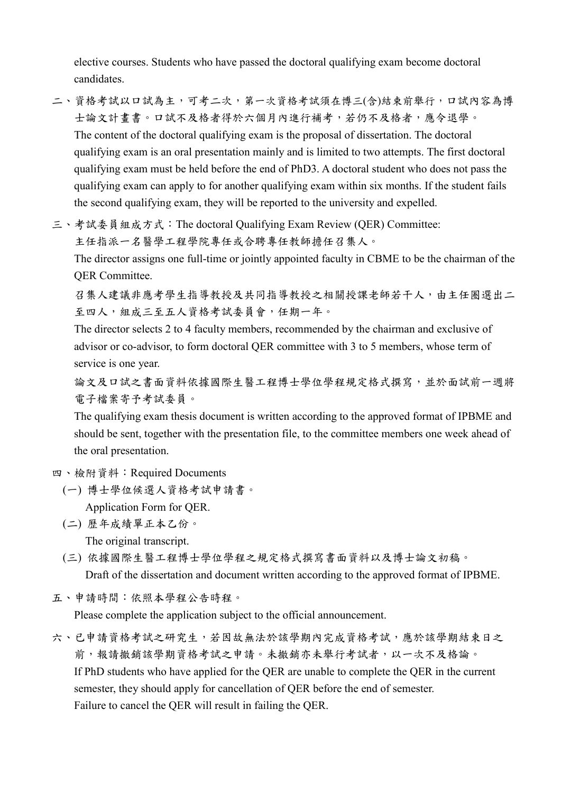elective courses. Students who have passed the doctoral qualifying exam become doctoral candidates.

二、資格考試以口試為主,可考二次,第一次資格考試須在博三(含)結束前舉行,口試內容為博 士論文計畫書。口試不及格者得於六個月內進行補考,若仍不及格者,應令退學。 The content of the doctoral qualifying exam is the proposal of dissertation. The doctoral qualifying exam is an oral presentation mainly and is limited to two attempts. The first doctoral qualifying exam must be held before the end of PhD3. A doctoral student who does not pass the qualifying exam can apply to for another qualifying exam within six months. If the student fails the second qualifying exam, they will be reported to the university and expelled.

三、考試委員組成方式:The doctoral Qualifying Exam Review (QER) Committee: 主任指派一名醫學工程學院專任或合聘專任教師擔任召集人。

The director assigns one full-time or jointly appointed faculty in CBME to be the chairman of the QER Committee.

召集人建議非應考學生指導教授之相關授課老師若干人,由主任圈選出二 至四人,組成三至五人資格考試委員會,任期一年。

The director selects 2 to 4 faculty members, recommended by the chairman and exclusive of advisor or co-advisor, to form doctoral QER committee with 3 to 5 members, whose term of service is one year.

論文及口試之書面資料依據國際生醫工程博士學位學程規定格式撰寫,並於面試前一週將 電子檔案寄予考試委員。

The qualifying exam thesis document is written according to the approved format of IPBME and should be sent, together with the presentation file, to the committee members one week ahead of the oral presentation.

- 四、檢附資料:Required Documents
	- (一) 博士學位候選人資格考試申請書。

Application Form for QER.

(二) 歷年成績單正本乙份。

The original transcript.

- (三) 依據國際生醫工程博士學位學程之規定格式撰寫書面資料以及博士論文初稿。 Draft of the dissertation and document written according to the approved format of IPBME.
- 五、申請時間:依照本學程公告時程。

Please complete the application subject to the official announcement.

六、已申請資格考試之研究生,若因故無法於該學期內完成資格考試,應於該學期結束日之 前,報請撤銷該學期資格考試之申請。未撤銷亦未舉行考試者,以一次不及格論。 If PhD students who have applied for the QER are unable to complete the QER in the current semester, they should apply for cancellation of QER before the end of semester. Failure to cancel the QER will result in failing the QER.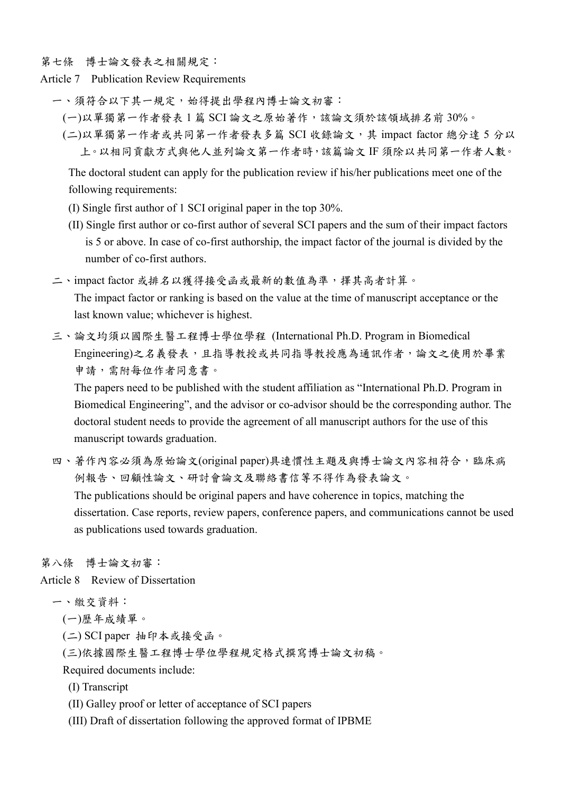第七條 博士論文發表之相關規定:

Article 7 Publication Review Requirements

一、須符合以下其一規定,始得提出學程內博士論文初審:

- (一)以單獨第一作者發表 1 篇 SCI 論文之原始著作,該論文須於該領域排名前 30%。
- (二)以單獨第一作者或共同第一作者發表多篇 SCI 收錄論文,其 impact factor 總分達 5 分以 上。以相同貢獻方式與他人並列論文第一作者時,該篇論文 IF 須除以共同第一作者人數。

The doctoral student can apply for the publication review if his/her publications meet one of the following requirements:

- (I) Single first author of 1 SCI original paper in the top 30%.
- (II) Single first author or co-first author of several SCI papers and the sum of their impact factors is 5 or above. In case of co-first authorship, the impact factor of the journal is divided by the number of co-first authors.
- 二、impact factor 或排名以獲得接受函或最新的數值為準,擇其高者計算。

The impact factor or ranking is based on the value at the time of manuscript acceptance or the last known value; whichever is highest.

三、論文均須以國際生醫工程博士學位學程 (International Ph.D. Program in Biomedical Engineering)之名義發表,且指導教授或共同指導教授應為通訊作者,論文之使用於畢業 申請,需附每位作者同意書。

The papers need to be published with the student affiliation as "International Ph.D. Program in Biomedical Engineering", and the advisor or co-advisor should be the corresponding author. The doctoral student needs to provide the agreement of all manuscript authors for the use of this manuscript towards graduation.

四、著作內容必須為原始論文(original paper)具連慣性主題及與博士論文內容相符合,臨床病 例報告、回顧性論文、研討會論文及聯絡書信等不得作為發表論文。 The publications should be original papers and have coherence in topics, matching the dissertation. Case reports, review papers, conference papers, and communications cannot be used as publications used towards graduation.

第八條 博士論文初審:

Article 8 Review of Dissertation

- 一、繳交資料:
	- (一)歷年成績單。
	- (二) SCI paper 抽印本或接受函。
	- (三)依據國際生醫工程博士學位學程規定格式撰寫博士論文初稿。

Required documents include:

- (I) Transcript
- (II) Galley proof or letter of acceptance of SCI papers
- (III) Draft of dissertation following the approved format of IPBME